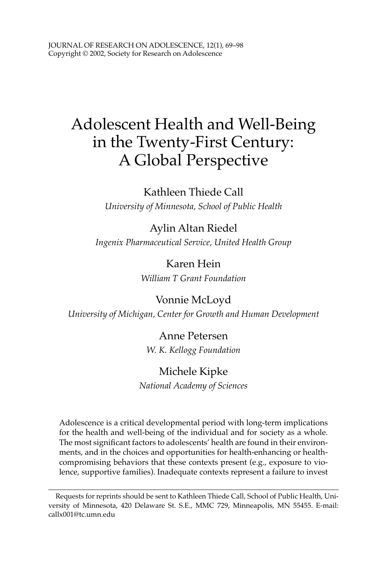# Adolescent Health and Well-Being in the Twenty-First Century: A Global Perspective

Kathleen Thiede Call *University of Minnesota, School of Public Health*

# Aylin Altan Riedel *Ingenix Pharmaceutical Service, United Health Group*

Karen Hein *William T Grant Foundation*

Vonnie McLoyd *University of Michigan, Center for Growth and Human Development*

> Anne Petersen *W. K. Kellogg Foundation*

# Michele Kipke *National Academy of Sciences*

Adolescence is a critical developmental period with long-term implications for the health and well-being of the individual and for society as a whole. The most significant factors to adolescents' health are found in their environments, and in the choices and opportunities for health-enhancing or healthcompromising behaviors that these contexts present (e.g., exposure to violence, supportive families). Inadequate contexts represent a failure to invest

Requests for reprints should be sent to Kathleen Thiede Call, School of Public Health, University of Minnesota, 420 Delaware St. S.E., MMC 729, Minneapolis, MN 55455. E-mail: callx001@tc.umn.edu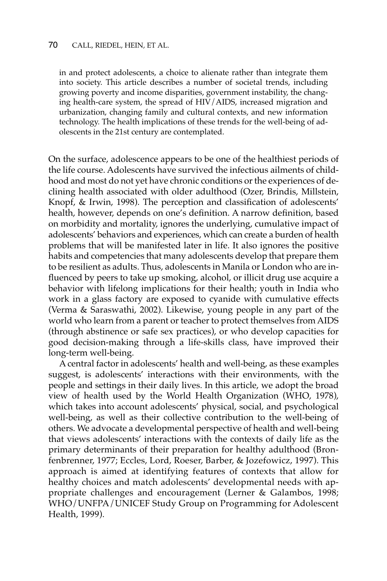#### 70 CALL, RIEDEL, HEIN, ET AL.

in and protect adolescents, a choice to alienate rather than integrate them into society. This article describes a number of societal trends, including growing poverty and income disparities, government instability, the changing health-care system, the spread of HIV/AIDS, increased migration and urbanization, changing family and cultural contexts, and new information technology. The health implications of these trends for the well-being of adolescents in the 21st century are contemplated.

On the surface, adolescence appears to be one of the healthiest periods of the life course. Adolescents have survived the infectious ailments of childhood and most do not yet have chronic conditions or the experiences of declining health associated with older adulthood (Ozer, Brindis, Millstein, Knopf, & Irwin, 1998). The perception and classification of adolescents' health, however, depends on one's definition. A narrow definition, based on morbidity and mortality, ignores the underlying, cumulative impact of adolescents' behaviors and experiences, which can create a burden of health problems that will be manifested later in life. It also ignores the positive habits and competencies that many adolescents develop that prepare them to be resilient as adults. Thus, adolescents in Manila or London who are influenced by peers to take up smoking, alcohol, or illicit drug use acquire a behavior with lifelong implications for their health; youth in India who work in a glass factory are exposed to cyanide with cumulative effects (Verma & Saraswathi, 2002). Likewise, young people in any part of the world who learn from a parent or teacher to protect themselves from AIDS (through abstinence or safe sex practices), or who develop capacities for good decision-making through a life-skills class, have improved their long-term well-being.

A central factor in adolescents' health and well-being, as these examples suggest, is adolescents' interactions with their environments, with the people and settings in their daily lives. In this article, we adopt the broad view of health used by the World Health Organization (WHO, 1978), which takes into account adolescents' physical, social, and psychological well-being, as well as their collective contribution to the well-being of others. We advocate a developmental perspective of health and well-being that views adolescents' interactions with the contexts of daily life as the primary determinants of their preparation for healthy adulthood (Bronfenbrenner, 1977; Eccles, Lord, Roeser, Barber, & Jozefowicz, 1997). This approach is aimed at identifying features of contexts that allow for healthy choices and match adolescents' developmental needs with appropriate challenges and encouragement (Lerner & Galambos, 1998; WHO/UNFPA/UNICEF Study Group on Programming for Adolescent Health, 1999).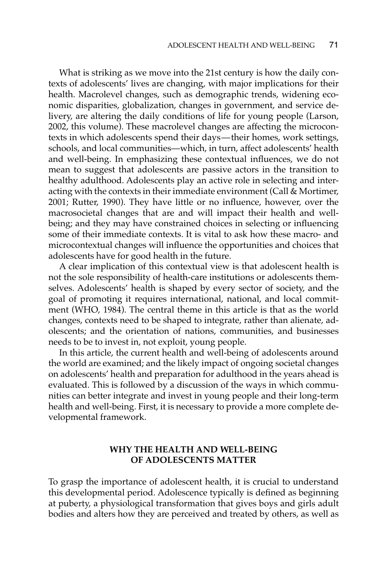What is striking as we move into the 21st century is how the daily contexts of adolescents' lives are changing, with major implications for their health. Macrolevel changes, such as demographic trends, widening economic disparities, globalization, changes in government, and service delivery, are altering the daily conditions of life for young people (Larson, 2002, this volume). These macrolevel changes are affecting the microcontexts in which adolescents spend their days—their homes, work settings, schools, and local communities—which, in turn, affect adolescents' health and well-being. In emphasizing these contextual influences, we do not mean to suggest that adolescents are passive actors in the transition to healthy adulthood. Adolescents play an active role in selecting and interacting with the contexts in their immediate environment (Call & Mortimer, 2001; Rutter, 1990). They have little or no influence, however, over the macrosocietal changes that are and will impact their health and wellbeing; and they may have constrained choices in selecting or influencing some of their immediate contexts. It is vital to ask how these macro- and microcontextual changes will influence the opportunities and choices that adolescents have for good health in the future.

A clear implication of this contextual view is that adolescent health is not the sole responsibility of health-care institutions or adolescents themselves. Adolescents' health is shaped by every sector of society, and the goal of promoting it requires international, national, and local commitment (WHO, 1984). The central theme in this article is that as the world changes, contexts need to be shaped to integrate, rather than alienate, adolescents; and the orientation of nations, communities, and businesses needs to be to invest in, not exploit, young people.

In this article, the current health and well-being of adolescents around the world are examined; and the likely impact of ongoing societal changes on adolescents' health and preparation for adulthood in the years ahead is evaluated. This is followed by a discussion of the ways in which communities can better integrate and invest in young people and their long-term health and well-being. First, it is necessary to provide a more complete developmental framework.

# **WHY THE HEALTH AND WELL-BEING OF ADOLESCENTS MATTER**

To grasp the importance of adolescent health, it is crucial to understand this developmental period. Adolescence typically is defined as beginning at puberty, a physiological transformation that gives boys and girls adult bodies and alters how they are perceived and treated by others, as well as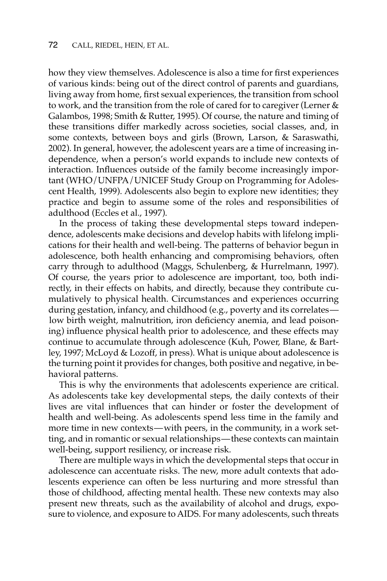how they view themselves. Adolescence is also a time for first experiences of various kinds: being out of the direct control of parents and guardians, living away from home, first sexual experiences, the transition from school to work, and the transition from the role of cared for to caregiver (Lerner & Galambos, 1998; Smith & Rutter, 1995). Of course, the nature and timing of these transitions differ markedly across societies, social classes, and, in some contexts, between boys and girls (Brown, Larson, & Saraswathi, 2002). In general, however, the adolescent years are a time of increasing independence, when a person's world expands to include new contexts of interaction. Influences outside of the family become increasingly important (WHO/UNFPA/UNICEF Study Group on Programming for Adolescent Health, 1999). Adolescents also begin to explore new identities; they practice and begin to assume some of the roles and responsibilities of adulthood (Eccles et al., 1997).

In the process of taking these developmental steps toward independence, adolescents make decisions and develop habits with lifelong implications for their health and well-being. The patterns of behavior begun in adolescence, both health enhancing and compromising behaviors, often carry through to adulthood (Maggs, Schulenberg, & Hurrelmann, 1997). Of course, the years prior to adolescence are important, too, both indirectly, in their effects on habits, and directly, because they contribute cumulatively to physical health. Circumstances and experiences occurring during gestation, infancy, and childhood (e.g., poverty and its correlates low birth weight, malnutrition, iron deficiency anemia, and lead poisoning) influence physical health prior to adolescence, and these effects may continue to accumulate through adolescence (Kuh, Power, Blane, & Bartley, 1997; McLoyd & Lozoff, in press). What is unique about adolescence is the turning point it provides for changes, both positive and negative, in behavioral patterns.

This is why the environments that adolescents experience are critical. As adolescents take key developmental steps, the daily contexts of their lives are vital influences that can hinder or foster the development of health and well-being. As adolescents spend less time in the family and more time in new contexts—with peers, in the community, in a work setting, and in romantic or sexual relationships—these contexts can maintain well-being, support resiliency, or increase risk.

There are multiple ways in which the developmental steps that occur in adolescence can accentuate risks. The new, more adult contexts that adolescents experience can often be less nurturing and more stressful than those of childhood, affecting mental health. These new contexts may also present new threats, such as the availability of alcohol and drugs, exposure to violence, and exposure to AIDS. For many adolescents, such threats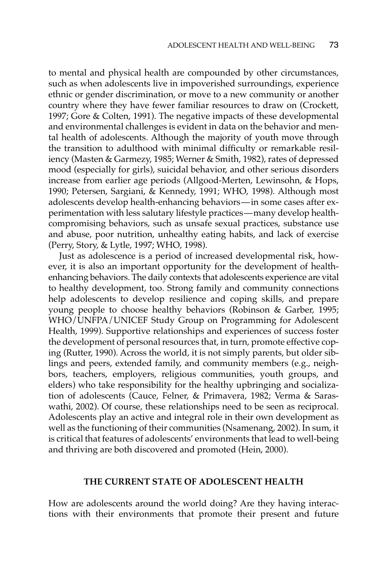to mental and physical health are compounded by other circumstances, such as when adolescents live in impoverished surroundings, experience ethnic or gender discrimination, or move to a new community or another country where they have fewer familiar resources to draw on (Crockett, 1997; Gore & Colten, 1991). The negative impacts of these developmental and environmental challenges is evident in data on the behavior and mental health of adolescents. Although the majority of youth move through the transition to adulthood with minimal difficulty or remarkable resiliency (Masten & Garmezy, 1985; Werner & Smith, 1982), rates of depressed mood (especially for girls), suicidal behavior, and other serious disorders increase from earlier age periods (Allgood-Merten, Lewinsohn, & Hops, 1990; Petersen, Sargiani, & Kennedy, 1991; WHO, 1998). Although most adolescents develop health-enhancing behaviors—in some cases after experimentation with less salutary lifestyle practices—many develop healthcompromising behaviors, such as unsafe sexual practices, substance use and abuse, poor nutrition, unhealthy eating habits, and lack of exercise (Perry, Story, & Lytle, 1997; WHO, 1998).

Just as adolescence is a period of increased developmental risk, however, it is also an important opportunity for the development of healthenhancing behaviors. The daily contexts that adolescents experience are vital to healthy development, too. Strong family and community connections help adolescents to develop resilience and coping skills, and prepare young people to choose healthy behaviors (Robinson & Garber, 1995; WHO/UNFPA/UNICEF Study Group on Programming for Adolescent Health, 1999). Supportive relationships and experiences of success foster the development of personal resources that, in turn, promote effective coping (Rutter, 1990). Across the world, it is not simply parents, but older siblings and peers, extended family, and community members (e.g., neighbors, teachers, employers, religious communities, youth groups, and elders) who take responsibility for the healthy upbringing and socialization of adolescents (Cauce, Felner, & Primavera, 1982; Verma & Saraswathi, 2002). Of course, these relationships need to be seen as reciprocal. Adolescents play an active and integral role in their own development as well as the functioning of their communities (Nsamenang, 2002). In sum, it is critical that features of adolescents' environments that lead to well-being and thriving are both discovered and promoted (Hein, 2000).

#### **THE CURRENT STATE OF ADOLESCENT HEALTH**

How are adolescents around the world doing? Are they having interactions with their environments that promote their present and future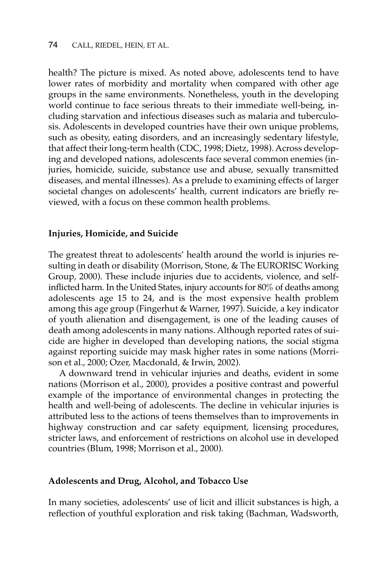health? The picture is mixed. As noted above, adolescents tend to have lower rates of morbidity and mortality when compared with other age groups in the same environments. Nonetheless, youth in the developing world continue to face serious threats to their immediate well-being, including starvation and infectious diseases such as malaria and tuberculosis. Adolescents in developed countries have their own unique problems, such as obesity, eating disorders, and an increasingly sedentary lifestyle, that affect their long-term health (CDC, 1998; Dietz, 1998). Across developing and developed nations, adolescents face several common enemies (injuries, homicide, suicide, substance use and abuse, sexually transmitted diseases, and mental illnesses). As a prelude to examining effects of larger societal changes on adolescents' health, current indicators are briefly reviewed, with a focus on these common health problems.

#### **Injuries, Homicide, and Suicide**

The greatest threat to adolescents' health around the world is injuries resulting in death or disability (Morrison, Stone, & The EURORISC Working Group, 2000). These include injuries due to accidents, violence, and selfinflicted harm. In the United States, injury accounts for 80% of deaths among adolescents age 15 to 24, and is the most expensive health problem among this age group (Fingerhut & Warner, 1997). Suicide, a key indicator of youth alienation and disengagement, is one of the leading causes of death among adolescents in many nations. Although reported rates of suicide are higher in developed than developing nations, the social stigma against reporting suicide may mask higher rates in some nations (Morrison et al., 2000; Ozer, Macdonald, & Irwin, 2002).

A downward trend in vehicular injuries and deaths, evident in some nations (Morrison et al., 2000), provides a positive contrast and powerful example of the importance of environmental changes in protecting the health and well-being of adolescents. The decline in vehicular injuries is attributed less to the actions of teens themselves than to improvements in highway construction and car safety equipment, licensing procedures, stricter laws, and enforcement of restrictions on alcohol use in developed countries (Blum, 1998; Morrison et al., 2000).

#### **Adolescents and Drug, Alcohol, and Tobacco Use**

In many societies, adolescents' use of licit and illicit substances is high, a reflection of youthful exploration and risk taking (Bachman, Wadsworth,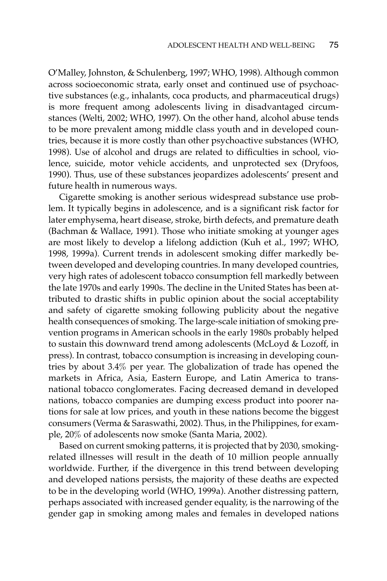O'Malley, Johnston, & Schulenberg, 1997; WHO, 1998). Although common across socioeconomic strata, early onset and continued use of psychoactive substances (e.g., inhalants, coca products, and pharmaceutical drugs) is more frequent among adolescents living in disadvantaged circumstances (Welti, 2002; WHO, 1997). On the other hand, alcohol abuse tends to be more prevalent among middle class youth and in developed countries, because it is more costly than other psychoactive substances (WHO, 1998). Use of alcohol and drugs are related to difficulties in school, violence, suicide, motor vehicle accidents, and unprotected sex (Dryfoos, 1990). Thus, use of these substances jeopardizes adolescents' present and future health in numerous ways.

Cigarette smoking is another serious widespread substance use problem. It typically begins in adolescence, and is a significant risk factor for later emphysema, heart disease, stroke, birth defects, and premature death (Bachman & Wallace, 1991). Those who initiate smoking at younger ages are most likely to develop a lifelong addiction (Kuh et al., 1997; WHO, 1998, 1999a). Current trends in adolescent smoking differ markedly between developed and developing countries. In many developed countries, very high rates of adolescent tobacco consumption fell markedly between the late 1970s and early 1990s. The decline in the United States has been attributed to drastic shifts in public opinion about the social acceptability and safety of cigarette smoking following publicity about the negative health consequences of smoking. The large-scale initiation of smoking prevention programs in American schools in the early 1980s probably helped to sustain this downward trend among adolescents (McLoyd & Lozoff, in press). In contrast, tobacco consumption is increasing in developing countries by about 3.4% per year. The globalization of trade has opened the markets in Africa, Asia, Eastern Europe, and Latin America to transnational tobacco conglomerates. Facing decreased demand in developed nations, tobacco companies are dumping excess product into poorer nations for sale at low prices, and youth in these nations become the biggest consumers (Verma & Saraswathi, 2002). Thus, in the Philippines, for example, 20% of adolescents now smoke (Santa Maria, 2002).

Based on current smoking patterns, it is projected that by 2030, smokingrelated illnesses will result in the death of 10 million people annually worldwide. Further, if the divergence in this trend between developing and developed nations persists, the majority of these deaths are expected to be in the developing world (WHO, 1999a). Another distressing pattern, perhaps associated with increased gender equality, is the narrowing of the gender gap in smoking among males and females in developed nations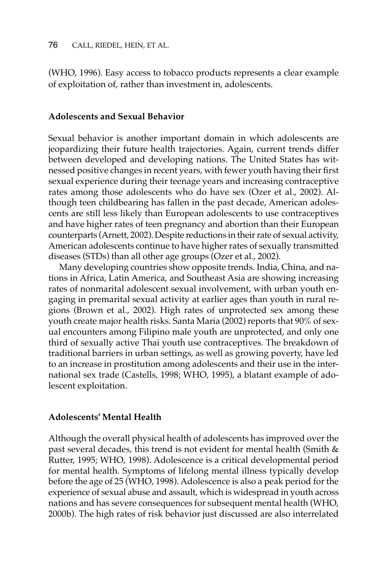(WHO, 1996). Easy access to tobacco products represents a clear example of exploitation of, rather than investment in, adolescents.

# **Adolescents and Sexual Behavior**

Sexual behavior is another important domain in which adolescents are jeopardizing their future health trajectories. Again, current trends differ between developed and developing nations. The United States has witnessed positive changes in recent years, with fewer youth having their first sexual experience during their teenage years and increasing contraceptive rates among those adolescents who do have sex (Ozer et al., 2002). Although teen childbearing has fallen in the past decade, American adolescents are still less likely than European adolescents to use contraceptives and have higher rates of teen pregnancy and abortion than their European counterparts (Arnett, 2002). Despite reductions in their rate of sexual activity, American adolescents continue to have higher rates of sexually transmitted diseases (STDs) than all other age groups (Ozer et al., 2002).

Many developing countries show opposite trends. India, China, and nations in Africa, Latin America, and Southeast Asia are showing increasing rates of nonmarital adolescent sexual involvement, with urban youth engaging in premarital sexual activity at earlier ages than youth in rural regions (Brown et al., 2002). High rates of unprotected sex among these youth create major health risks. Santa Maria (2002) reports that 90% of sexual encounters among Filipino male youth are unprotected, and only one third of sexually active Thai youth use contraceptives. The breakdown of traditional barriers in urban settings, as well as growing poverty, have led to an increase in prostitution among adolescents and their use in the international sex trade (Castells, 1998; WHO, 1995), a blatant example of adolescent exploitation.

# **Adolescents' Mental Health**

Although the overall physical health of adolescents has improved over the past several decades, this trend is not evident for mental health (Smith & Rutter, 1995; WHO, 1998). Adolescence is a critical developmental period for mental health. Symptoms of lifelong mental illness typically develop before the age of 25 (WHO, 1998). Adolescence is also a peak period for the experience of sexual abuse and assault, which is widespread in youth across nations and has severe consequences for subsequent mental health (WHO, 2000b). The high rates of risk behavior just discussed are also interrelated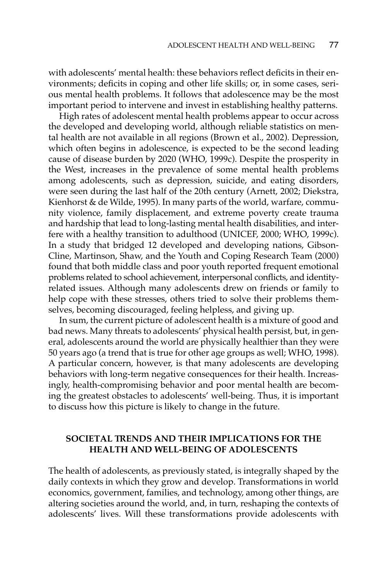with adolescents' mental health: these behaviors reflect deficits in their environments; deficits in coping and other life skills; or, in some cases, serious mental health problems. It follows that adolescence may be the most important period to intervene and invest in establishing healthy patterns.

High rates of adolescent mental health problems appear to occur across the developed and developing world, although reliable statistics on mental health are not available in all regions (Brown et al., 2002). Depression, which often begins in adolescence, is expected to be the second leading cause of disease burden by 2020 (WHO, 1999c). Despite the prosperity in the West, increases in the prevalence of some mental health problems among adolescents, such as depression, suicide, and eating disorders, were seen during the last half of the 20th century (Arnett, 2002; Diekstra, Kienhorst & de Wilde, 1995). In many parts of the world, warfare, community violence, family displacement, and extreme poverty create trauma and hardship that lead to long-lasting mental health disabilities, and interfere with a healthy transition to adulthood (UNICEF, 2000; WHO, 1999c). In a study that bridged 12 developed and developing nations, Gibson-Cline, Martinson, Shaw, and the Youth and Coping Research Team (2000) found that both middle class and poor youth reported frequent emotional problems related to school achievement, interpersonal conflicts, and identityrelated issues. Although many adolescents drew on friends or family to help cope with these stresses, others tried to solve their problems themselves, becoming discouraged, feeling helpless, and giving up.

In sum, the current picture of adolescent health is a mixture of good and bad news. Many threats to adolescents' physical health persist, but, in general, adolescents around the world are physically healthier than they were 50 years ago (a trend that is true for other age groups as well; WHO, 1998). A particular concern, however, is that many adolescents are developing behaviors with long-term negative consequences for their health. Increasingly, health-compromising behavior and poor mental health are becoming the greatest obstacles to adolescents' well-being. Thus, it is important to discuss how this picture is likely to change in the future.

# **SOCIETAL TRENDS AND THEIR IMPLICATIONS FOR THE HEALTH AND WELL-BEING OF ADOLESCENTS**

The health of adolescents, as previously stated, is integrally shaped by the daily contexts in which they grow and develop. Transformations in world economics, government, families, and technology, among other things, are altering societies around the world, and, in turn, reshaping the contexts of adolescents' lives. Will these transformations provide adolescents with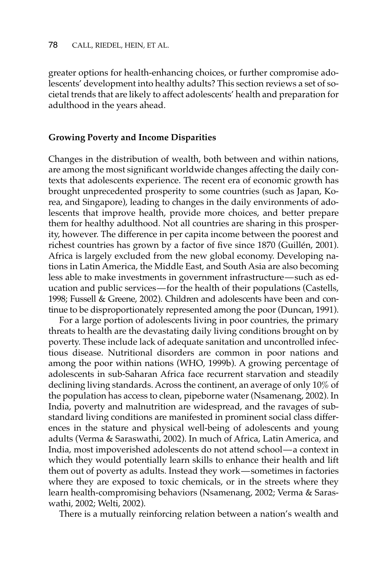greater options for health-enhancing choices, or further compromise adolescents' development into healthy adults? This section reviews a set of societal trends that are likely to affect adolescents' health and preparation for adulthood in the years ahead.

#### **Growing Poverty and Income Disparities**

Changes in the distribution of wealth, both between and within nations, are among the most significant worldwide changes affecting the daily contexts that adolescents experience. The recent era of economic growth has brought unprecedented prosperity to some countries (such as Japan, Korea, and Singapore), leading to changes in the daily environments of adolescents that improve health, provide more choices, and better prepare them for healthy adulthood. Not all countries are sharing in this prosperity, however. The difference in per capita income between the poorest and richest countries has grown by a factor of five since 1870 (Guillén, 2001). Africa is largely excluded from the new global economy. Developing nations in Latin America, the Middle East, and South Asia are also becoming less able to make investments in government infrastructure—such as education and public services—for the health of their populations (Castells, 1998; Fussell & Greene, 2002). Children and adolescents have been and continue to be disproportionately represented among the poor (Duncan, 1991).

For a large portion of adolescents living in poor countries, the primary threats to health are the devastating daily living conditions brought on by poverty. These include lack of adequate sanitation and uncontrolled infectious disease. Nutritional disorders are common in poor nations and among the poor within nations (WHO, 1999b). A growing percentage of adolescents in sub-Saharan Africa face recurrent starvation and steadily declining living standards. Across the continent, an average of only 10% of the population has access to clean, pipeborne water (Nsamenang, 2002). In India, poverty and malnutrition are widespread, and the ravages of substandard living conditions are manifested in prominent social class differences in the stature and physical well-being of adolescents and young adults (Verma & Saraswathi, 2002). In much of Africa, Latin America, and India, most impoverished adolescents do not attend school—a context in which they would potentially learn skills to enhance their health and lift them out of poverty as adults. Instead they work—sometimes in factories where they are exposed to toxic chemicals, or in the streets where they learn health-compromising behaviors (Nsamenang, 2002; Verma & Saraswathi, 2002; Welti, 2002).

There is a mutually reinforcing relation between a nation's wealth and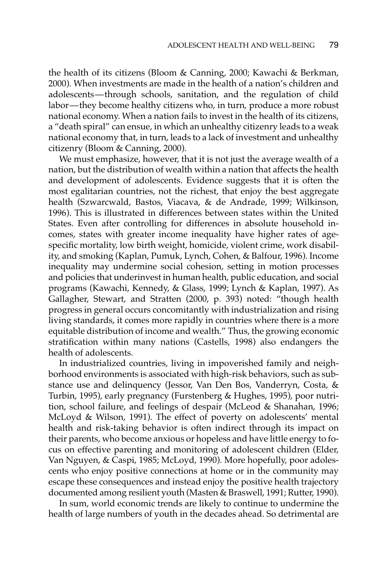the health of its citizens (Bloom & Canning, 2000; Kawachi & Berkman, 2000). When investments are made in the health of a nation's children and adolescents—through schools, sanitation, and the regulation of child labor—they become healthy citizens who, in turn, produce a more robust national economy. When a nation fails to invest in the health of its citizens, a "death spiral" can ensue, in which an unhealthy citizenry leads to a weak national economy that, in turn, leads to a lack of investment and unhealthy citizenry (Bloom & Canning, 2000).

We must emphasize, however, that it is not just the average wealth of a nation, but the distribution of wealth within a nation that affects the health and development of adolescents. Evidence suggests that it is often the most egalitarian countries, not the richest, that enjoy the best aggregate health (Szwarcwald, Bastos, Viacava, & de Andrade, 1999; Wilkinson, 1996). This is illustrated in differences between states within the United States. Even after controlling for differences in absolute household incomes, states with greater income inequality have higher rates of agespecific mortality, low birth weight, homicide, violent crime, work disability, and smoking (Kaplan, Pumuk, Lynch, Cohen, & Balfour, 1996). Income inequality may undermine social cohesion, setting in motion processes and policies that underinvest in human health, public education, and social programs (Kawachi, Kennedy, & Glass, 1999; Lynch & Kaplan, 1997). As Gallagher, Stewart, and Stratten (2000, p. 393) noted: "though health progress in general occurs concomitantly with industrialization and rising living standards, it comes more rapidly in countries where there is a more equitable distribution of income and wealth." Thus, the growing economic stratification within many nations (Castells, 1998) also endangers the health of adolescents.

In industrialized countries, living in impoverished family and neighborhood environments is associated with high-risk behaviors, such as substance use and delinquency (Jessor, Van Den Bos, Vanderryn, Costa, & Turbin, 1995), early pregnancy (Furstenberg & Hughes, 1995), poor nutrition, school failure, and feelings of despair (McLeod & Shanahan, 1996; McLoyd & Wilson, 1991). The effect of poverty on adolescents' mental health and risk-taking behavior is often indirect through its impact on their parents, who become anxious or hopeless and have little energy to focus on effective parenting and monitoring of adolescent children (Elder, Van Nguyen, & Caspi, 1985; McLoyd, 1990). More hopefully, poor adolescents who enjoy positive connections at home or in the community may escape these consequences and instead enjoy the positive health trajectory documented among resilient youth (Masten & Braswell, 1991; Rutter, 1990).

In sum, world economic trends are likely to continue to undermine the health of large numbers of youth in the decades ahead. So detrimental are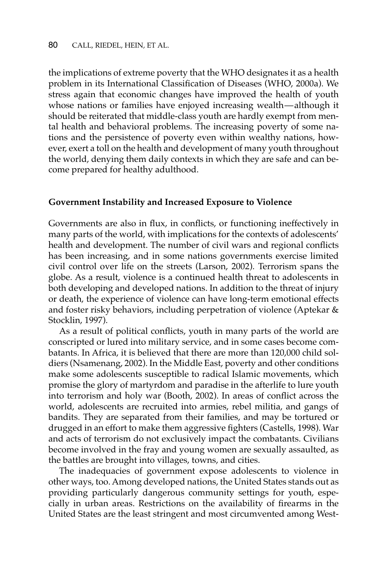the implications of extreme poverty that the WHO designates it as a health problem in its International Classification of Diseases (WHO, 2000a). We stress again that economic changes have improved the health of youth whose nations or families have enjoyed increasing wealth—although it should be reiterated that middle-class youth are hardly exempt from mental health and behavioral problems. The increasing poverty of some nations and the persistence of poverty even within wealthy nations, however, exert a toll on the health and development of many youth throughout the world, denying them daily contexts in which they are safe and can become prepared for healthy adulthood.

## **Government Instability and Increased Exposure to Violence**

Governments are also in flux, in conflicts, or functioning ineffectively in many parts of the world, with implications for the contexts of adolescents' health and development. The number of civil wars and regional conflicts has been increasing, and in some nations governments exercise limited civil control over life on the streets (Larson, 2002). Terrorism spans the globe. As a result, violence is a continued health threat to adolescents in both developing and developed nations. In addition to the threat of injury or death, the experience of violence can have long-term emotional effects and foster risky behaviors, including perpetration of violence (Aptekar & Stocklin, 1997).

As a result of political conflicts, youth in many parts of the world are conscripted or lured into military service, and in some cases become combatants. In Africa, it is believed that there are more than 120,000 child soldiers (Nsamenang, 2002). In the Middle East, poverty and other conditions make some adolescents susceptible to radical Islamic movements, which promise the glory of martyrdom and paradise in the afterlife to lure youth into terrorism and holy war (Booth, 2002). In areas of conflict across the world, adolescents are recruited into armies, rebel militia, and gangs of bandits. They are separated from their families, and may be tortured or drugged in an effort to make them aggressive fighters (Castells, 1998). War and acts of terrorism do not exclusively impact the combatants. Civilians become involved in the fray and young women are sexually assaulted, as the battles are brought into villages, towns, and cities.

The inadequacies of government expose adolescents to violence in other ways, too. Among developed nations, the United States stands out as providing particularly dangerous community settings for youth, especially in urban areas. Restrictions on the availability of firearms in the United States are the least stringent and most circumvented among West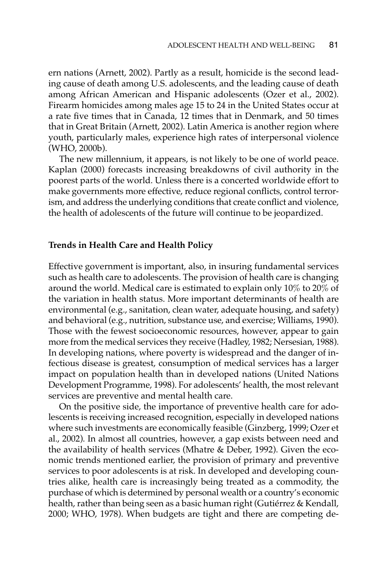ern nations (Arnett, 2002). Partly as a result, homicide is the second leading cause of death among U.S. adolescents, and the leading cause of death among African American and Hispanic adolescents (Ozer et al., 2002). Firearm homicides among males age 15 to 24 in the United States occur at a rate five times that in Canada, 12 times that in Denmark, and 50 times that in Great Britain (Arnett, 2002). Latin America is another region where youth, particularly males, experience high rates of interpersonal violence (WHO, 2000b).

The new millennium, it appears, is not likely to be one of world peace. Kaplan (2000) forecasts increasing breakdowns of civil authority in the poorest parts of the world. Unless there is a concerted worldwide effort to make governments more effective, reduce regional conflicts, control terrorism, and address the underlying conditions that create conflict and violence, the health of adolescents of the future will continue to be jeopardized.

#### **Trends in Health Care and Health Policy**

Effective government is important, also, in insuring fundamental services such as health care to adolescents. The provision of health care is changing around the world. Medical care is estimated to explain only 10% to 20% of the variation in health status. More important determinants of health are environmental (e.g., sanitation, clean water, adequate housing, and safety) and behavioral (e.g., nutrition, substance use, and exercise; Williams, 1990). Those with the fewest socioeconomic resources, however, appear to gain more from the medical services they receive (Hadley, 1982; Nersesian, 1988). In developing nations, where poverty is widespread and the danger of infectious disease is greatest, consumption of medical services has a larger impact on population health than in developed nations (United Nations Development Programme, 1998). For adolescents' health, the most relevant services are preventive and mental health care.

On the positive side, the importance of preventive health care for adolescents is receiving increased recognition, especially in developed nations where such investments are economically feasible (Ginzberg, 1999; Ozer et al., 2002). In almost all countries, however, a gap exists between need and the availability of health services (Mhatre & Deber, 1992). Given the economic trends mentioned earlier, the provision of primary and preventive services to poor adolescents is at risk. In developed and developing countries alike, health care is increasingly being treated as a commodity, the purchase of which is determined by personal wealth or a country's economic health, rather than being seen as a basic human right (Gutiérrez & Kendall, 2000; WHO, 1978). When budgets are tight and there are competing de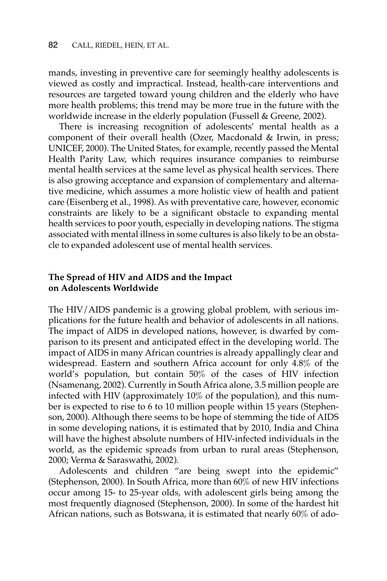mands, investing in preventive care for seemingly healthy adolescents is viewed as costly and impractical. Instead, health-care interventions and resources are targeted toward young children and the elderly who have more health problems; this trend may be more true in the future with the worldwide increase in the elderly population (Fussell & Greene, 2002).

There is increasing recognition of adolescents' mental health as a component of their overall health (Ozer, Macdonald & Irwin, in press; UNICEF, 2000). The United States, for example, recently passed the Mental Health Parity Law, which requires insurance companies to reimburse mental health services at the same level as physical health services. There is also growing acceptance and expansion of complementary and alternative medicine, which assumes a more holistic view of health and patient care (Eisenberg et al., 1998). As with preventative care, however, economic constraints are likely to be a significant obstacle to expanding mental health services to poor youth, especially in developing nations. The stigma associated with mental illness in some cultures is also likely to be an obstacle to expanded adolescent use of mental health services.

# **The Spread of HIV and AIDS and the Impact on Adolescents Worldwide**

The HIV/AIDS pandemic is a growing global problem, with serious implications for the future health and behavior of adolescents in all nations. The impact of AIDS in developed nations, however, is dwarfed by comparison to its present and anticipated effect in the developing world. The impact of AIDS in many African countries is already appallingly clear and widespread. Eastern and southern Africa account for only 4.8% of the world's population, but contain 50% of the cases of HIV infection (Nsamenang, 2002). Currently in South Africa alone, 3.5 million people are infected with HIV (approximately 10% of the population), and this number is expected to rise to 6 to 10 million people within 15 years (Stephenson, 2000). Although there seems to be hope of stemming the tide of AIDS in some developing nations, it is estimated that by 2010, India and China will have the highest absolute numbers of HIV-infected individuals in the world, as the epidemic spreads from urban to rural areas (Stephenson, 2000; Verma & Saraswathi, 2002).

Adolescents and children "are being swept into the epidemic" (Stephenson, 2000). In South Africa, more than 60% of new HIV infections occur among 15- to 25-year olds, with adolescent girls being among the most frequently diagnosed (Stephenson, 2000). In some of the hardest hit African nations, such as Botswana, it is estimated that nearly 60% of ado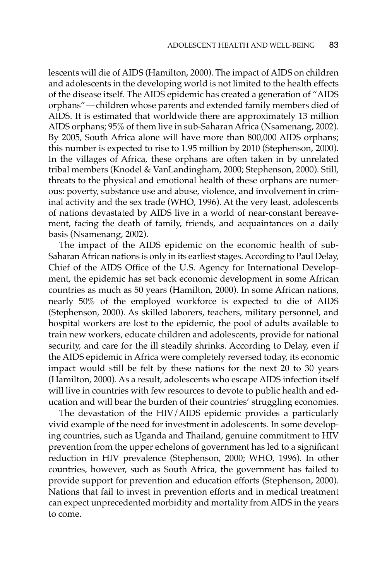lescents will die of AIDS (Hamilton, 2000). The impact of AIDS on children and adolescents in the developing world is not limited to the health effects of the disease itself. The AIDS epidemic has created a generation of "AIDS orphans"—children whose parents and extended family members died of AIDS. It is estimated that worldwide there are approximately 13 million AIDS orphans; 95% of them live in sub-Saharan Africa (Nsamenang, 2002). By 2005, South Africa alone will have more than 800,000 AIDS orphans; this number is expected to rise to 1.95 million by 2010 (Stephenson, 2000). In the villages of Africa, these orphans are often taken in by unrelated tribal members (Knodel & VanLandingham, 2000; Stephenson, 2000). Still, threats to the physical and emotional health of these orphans are numerous: poverty, substance use and abuse, violence, and involvement in criminal activity and the sex trade (WHO, 1996). At the very least, adolescents of nations devastated by AIDS live in a world of near-constant bereavement, facing the death of family, friends, and acquaintances on a daily basis (Nsamenang, 2002).

The impact of the AIDS epidemic on the economic health of sub-Saharan African nations is only in its earliest stages. According to Paul Delay, Chief of the AIDS Office of the U.S. Agency for International Development, the epidemic has set back economic development in some African countries as much as 50 years (Hamilton, 2000). In some African nations, nearly 50% of the employed workforce is expected to die of AIDS (Stephenson, 2000). As skilled laborers, teachers, military personnel, and hospital workers are lost to the epidemic, the pool of adults available to train new workers, educate children and adolescents, provide for national security, and care for the ill steadily shrinks. According to Delay, even if the AIDS epidemic in Africa were completely reversed today, its economic impact would still be felt by these nations for the next 20 to 30 years (Hamilton, 2000). As a result, adolescents who escape AIDS infection itself will live in countries with few resources to devote to public health and education and will bear the burden of their countries' struggling economies.

The devastation of the HIV/AIDS epidemic provides a particularly vivid example of the need for investment in adolescents. In some developing countries, such as Uganda and Thailand, genuine commitment to HIV prevention from the upper echelons of government has led to a significant reduction in HIV prevalence (Stephenson, 2000; WHO, 1996). In other countries, however, such as South Africa, the government has failed to provide support for prevention and education efforts (Stephenson, 2000). Nations that fail to invest in prevention efforts and in medical treatment can expect unprecedented morbidity and mortality from AIDS in the years to come.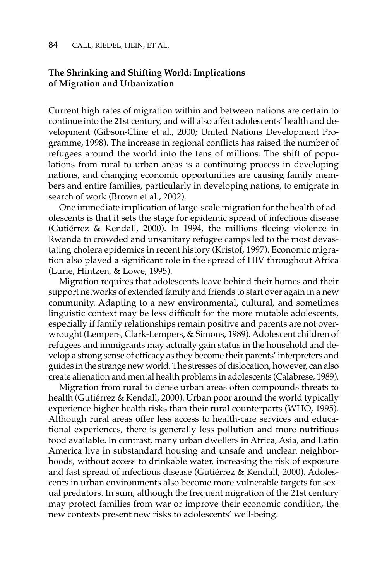#### 84 CALL, RIEDEL, HEIN, ET AL.

# **The Shrinking and Shifting World: Implications of Migration and Urbanization**

Current high rates of migration within and between nations are certain to continue into the 21st century, and will also affect adolescents' health and development (Gibson-Cline et al., 2000; United Nations Development Programme, 1998). The increase in regional conflicts has raised the number of refugees around the world into the tens of millions. The shift of populations from rural to urban areas is a continuing process in developing nations, and changing economic opportunities are causing family members and entire families, particularly in developing nations, to emigrate in search of work (Brown et al., 2002).

One immediate implication of large-scale migration for the health of adolescents is that it sets the stage for epidemic spread of infectious disease (Gutiérrez & Kendall, 2000). In 1994, the millions fleeing violence in Rwanda to crowded and unsanitary refugee camps led to the most devastating cholera epidemics in recent history (Kristof, 1997). Economic migration also played a significant role in the spread of HIV throughout Africa (Lurie, Hintzen, & Lowe, 1995).

Migration requires that adolescents leave behind their homes and their support networks of extended family and friends to start over again in a new community. Adapting to a new environmental, cultural, and sometimes linguistic context may be less difficult for the more mutable adolescents, especially if family relationships remain positive and parents are not overwrought (Lempers, Clark-Lempers, & Simons, 1989). Adolescent children of refugees and immigrants may actually gain status in the household and develop a strong sense of efficacy as they become their parents' interpreters and guides in the strange new world. The stresses of dislocation, however, can also create alienation and mental health problems in adolescents (Calabrese, 1989).

Migration from rural to dense urban areas often compounds threats to health (Gutiérrez & Kendall, 2000). Urban poor around the world typically experience higher health risks than their rural counterparts (WHO, 1995). Although rural areas offer less access to health-care services and educational experiences, there is generally less pollution and more nutritious food available. In contrast, many urban dwellers in Africa, Asia, and Latin America live in substandard housing and unsafe and unclean neighborhoods, without access to drinkable water, increasing the risk of exposure and fast spread of infectious disease (Gutiérrez & Kendall, 2000). Adolescents in urban environments also become more vulnerable targets for sexual predators. In sum, although the frequent migration of the 21st century may protect families from war or improve their economic condition, the new contexts present new risks to adolescents' well-being.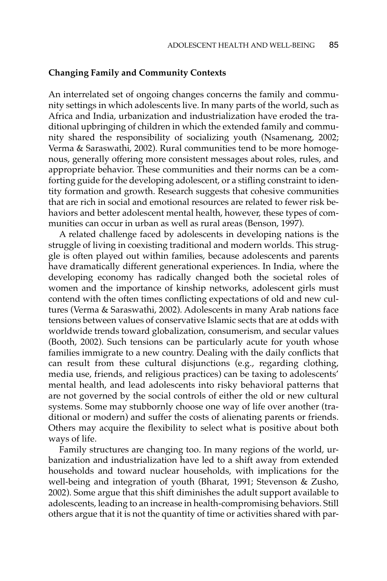#### **Changing Family and Community Contexts**

An interrelated set of ongoing changes concerns the family and community settings in which adolescents live. In many parts of the world, such as Africa and India, urbanization and industrialization have eroded the traditional upbringing of children in which the extended family and community shared the responsibility of socializing youth (Nsamenang, 2002; Verma & Saraswathi, 2002). Rural communities tend to be more homogenous, generally offering more consistent messages about roles, rules, and appropriate behavior. These communities and their norms can be a comforting guide for the developing adolescent, or a stifling constraint to identity formation and growth. Research suggests that cohesive communities that are rich in social and emotional resources are related to fewer risk behaviors and better adolescent mental health, however, these types of communities can occur in urban as well as rural areas (Benson, 1997).

A related challenge faced by adolescents in developing nations is the struggle of living in coexisting traditional and modern worlds. This struggle is often played out within families, because adolescents and parents have dramatically different generational experiences. In India, where the developing economy has radically changed both the societal roles of women and the importance of kinship networks, adolescent girls must contend with the often times conflicting expectations of old and new cultures (Verma & Saraswathi, 2002). Adolescents in many Arab nations face tensions between values of conservative Islamic sects that are at odds with worldwide trends toward globalization, consumerism, and secular values (Booth, 2002). Such tensions can be particularly acute for youth whose families immigrate to a new country. Dealing with the daily conflicts that can result from these cultural disjunctions (e.g., regarding clothing, media use, friends, and religious practices) can be taxing to adolescents' mental health, and lead adolescents into risky behavioral patterns that are not governed by the social controls of either the old or new cultural systems. Some may stubbornly choose one way of life over another (traditional or modern) and suffer the costs of alienating parents or friends. Others may acquire the flexibility to select what is positive about both ways of life.

Family structures are changing too. In many regions of the world, urbanization and industrialization have led to a shift away from extended households and toward nuclear households, with implications for the well-being and integration of youth (Bharat, 1991; Stevenson & Zusho, 2002). Some argue that this shift diminishes the adult support available to adolescents, leading to an increase in health-compromising behaviors. Still others argue that it is not the quantity of time or activities shared with par-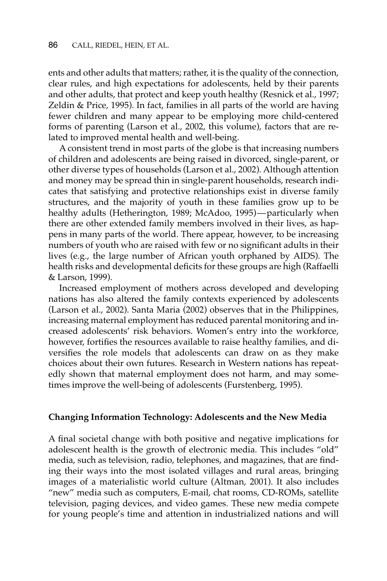ents and other adults that matters; rather, it is the quality of the connection, clear rules, and high expectations for adolescents, held by their parents and other adults, that protect and keep youth healthy (Resnick et al., 1997; Zeldin & Price, 1995). In fact, families in all parts of the world are having fewer children and many appear to be employing more child-centered forms of parenting (Larson et al., 2002, this volume), factors that are related to improved mental health and well-being.

A consistent trend in most parts of the globe is that increasing numbers of children and adolescents are being raised in divorced, single-parent, or other diverse types of households (Larson et al., 2002). Although attention and money may be spread thin in single-parent households, research indicates that satisfying and protective relationships exist in diverse family structures, and the majority of youth in these families grow up to be healthy adults (Hetherington, 1989; McAdoo, 1995)—particularly when there are other extended family members involved in their lives, as happens in many parts of the world. There appear, however, to be increasing numbers of youth who are raised with few or no significant adults in their lives (e.g., the large number of African youth orphaned by AIDS). The health risks and developmental deficits for these groups are high (Raffaelli & Larson, 1999).

Increased employment of mothers across developed and developing nations has also altered the family contexts experienced by adolescents (Larson et al., 2002). Santa Maria (2002) observes that in the Philippines, increasing maternal employment has reduced parental monitoring and increased adolescents' risk behaviors. Women's entry into the workforce, however, fortifies the resources available to raise healthy families, and diversifies the role models that adolescents can draw on as they make choices about their own futures. Research in Western nations has repeatedly shown that maternal employment does not harm, and may sometimes improve the well-being of adolescents (Furstenberg, 1995).

#### **Changing Information Technology: Adolescents and the New Media**

A final societal change with both positive and negative implications for adolescent health is the growth of electronic media. This includes "old" media, such as television, radio, telephones, and magazines, that are finding their ways into the most isolated villages and rural areas, bringing images of a materialistic world culture (Altman, 2001). It also includes "new" media such as computers, E-mail, chat rooms, CD-ROMs, satellite television, paging devices, and video games. These new media compete for young people's time and attention in industrialized nations and will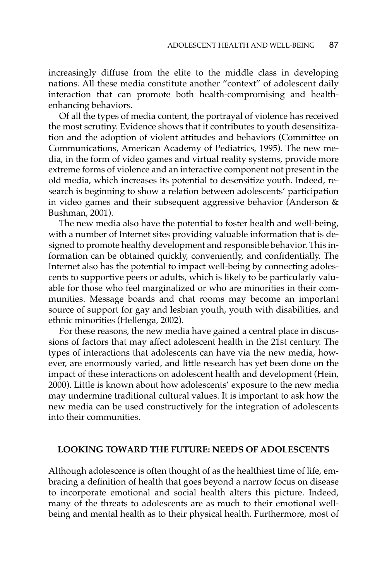increasingly diffuse from the elite to the middle class in developing nations. All these media constitute another "context" of adolescent daily interaction that can promote both health-compromising and healthenhancing behaviors.

Of all the types of media content, the portrayal of violence has received the most scrutiny. Evidence shows that it contributes to youth desensitization and the adoption of violent attitudes and behaviors (Committee on Communications, American Academy of Pediatrics, 1995). The new media, in the form of video games and virtual reality systems, provide more extreme forms of violence and an interactive component not present in the old media, which increases its potential to desensitize youth. Indeed, research is beginning to show a relation between adolescents' participation in video games and their subsequent aggressive behavior (Anderson  $&$ Bushman, 2001).

The new media also have the potential to foster health and well-being, with a number of Internet sites providing valuable information that is designed to promote healthy development and responsible behavior. This information can be obtained quickly, conveniently, and confidentially. The Internet also has the potential to impact well-being by connecting adolescents to supportive peers or adults, which is likely to be particularly valuable for those who feel marginalized or who are minorities in their communities. Message boards and chat rooms may become an important source of support for gay and lesbian youth, youth with disabilities, and ethnic minorities (Hellenga, 2002).

For these reasons, the new media have gained a central place in discussions of factors that may affect adolescent health in the 21st century. The types of interactions that adolescents can have via the new media, however, are enormously varied, and little research has yet been done on the impact of these interactions on adolescent health and development (Hein, 2000). Little is known about how adolescents' exposure to the new media may undermine traditional cultural values. It is important to ask how the new media can be used constructively for the integration of adolescents into their communities.

#### **LOOKING TOWARD THE FUTURE: NEEDS OF ADOLESCENTS**

Although adolescence is often thought of as the healthiest time of life, embracing a definition of health that goes beyond a narrow focus on disease to incorporate emotional and social health alters this picture. Indeed, many of the threats to adolescents are as much to their emotional wellbeing and mental health as to their physical health. Furthermore, most of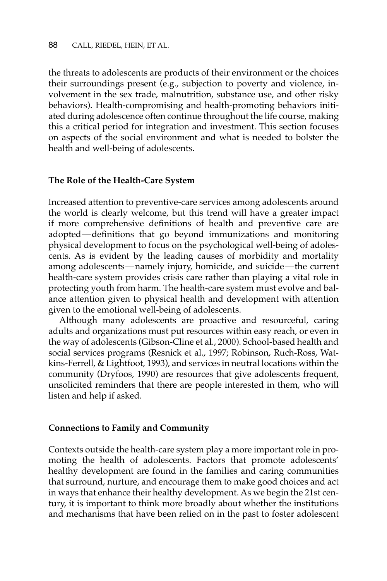the threats to adolescents are products of their environment or the choices their surroundings present (e.g., subjection to poverty and violence, involvement in the sex trade, malnutrition, substance use, and other risky behaviors). Health-compromising and health-promoting behaviors initiated during adolescence often continue throughout the life course, making this a critical period for integration and investment. This section focuses on aspects of the social environment and what is needed to bolster the health and well-being of adolescents.

#### **The Role of the Health-Care System**

Increased attention to preventive-care services among adolescents around the world is clearly welcome, but this trend will have a greater impact if more comprehensive definitions of health and preventive care are adopted—definitions that go beyond immunizations and monitoring physical development to focus on the psychological well-being of adolescents. As is evident by the leading causes of morbidity and mortality among adolescents—namely injury, homicide, and suicide—the current health-care system provides crisis care rather than playing a vital role in protecting youth from harm. The health-care system must evolve and balance attention given to physical health and development with attention given to the emotional well-being of adolescents.

Although many adolescents are proactive and resourceful, caring adults and organizations must put resources within easy reach, or even in the way of adolescents (Gibson-Cline et al., 2000). School-based health and social services programs (Resnick et al., 1997; Robinson, Ruch-Ross, Watkins-Ferrell, & Lightfoot, 1993), and services in neutral locations within the community (Dryfoos, 1990) are resources that give adolescents frequent, unsolicited reminders that there are people interested in them, who will listen and help if asked.

#### **Connections to Family and Community**

Contexts outside the health-care system play a more important role in promoting the health of adolescents. Factors that promote adolescents' healthy development are found in the families and caring communities that surround, nurture, and encourage them to make good choices and act in ways that enhance their healthy development. As we begin the 21st century, it is important to think more broadly about whether the institutions and mechanisms that have been relied on in the past to foster adolescent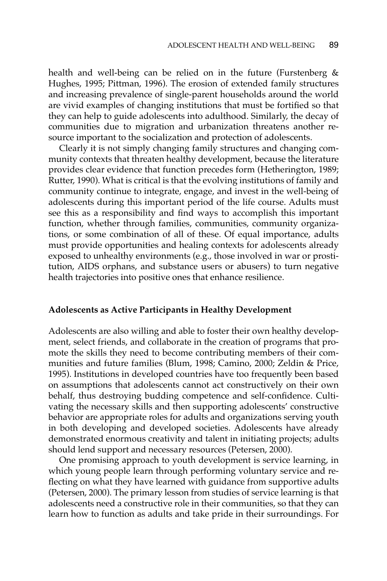health and well-being can be relied on in the future (Furstenberg & Hughes, 1995; Pittman, 1996). The erosion of extended family structures and increasing prevalence of single-parent households around the world are vivid examples of changing institutions that must be fortified so that they can help to guide adolescents into adulthood. Similarly, the decay of communities due to migration and urbanization threatens another resource important to the socialization and protection of adolescents.

Clearly it is not simply changing family structures and changing community contexts that threaten healthy development, because the literature provides clear evidence that function precedes form (Hetherington, 1989; Rutter, 1990). What is critical is that the evolving institutions of family and community continue to integrate, engage, and invest in the well-being of adolescents during this important period of the life course. Adults must see this as a responsibility and find ways to accomplish this important function, whether through families, communities, community organizations, or some combination of all of these. Of equal importance, adults must provide opportunities and healing contexts for adolescents already exposed to unhealthy environments (e.g., those involved in war or prostitution, AIDS orphans, and substance users or abusers) to turn negative health trajectories into positive ones that enhance resilience.

#### **Adolescents as Active Participants in Healthy Development**

Adolescents are also willing and able to foster their own healthy development, select friends, and collaborate in the creation of programs that promote the skills they need to become contributing members of their communities and future families (Blum, 1998; Camino, 2000; Zeldin & Price, 1995). Institutions in developed countries have too frequently been based on assumptions that adolescents cannot act constructively on their own behalf, thus destroying budding competence and self-confidence. Cultivating the necessary skills and then supporting adolescents' constructive behavior are appropriate roles for adults and organizations serving youth in both developing and developed societies. Adolescents have already demonstrated enormous creativity and talent in initiating projects; adults should lend support and necessary resources (Petersen, 2000).

One promising approach to youth development is service learning, in which young people learn through performing voluntary service and reflecting on what they have learned with guidance from supportive adults (Petersen, 2000). The primary lesson from studies of service learning is that adolescents need a constructive role in their communities, so that they can learn how to function as adults and take pride in their surroundings. For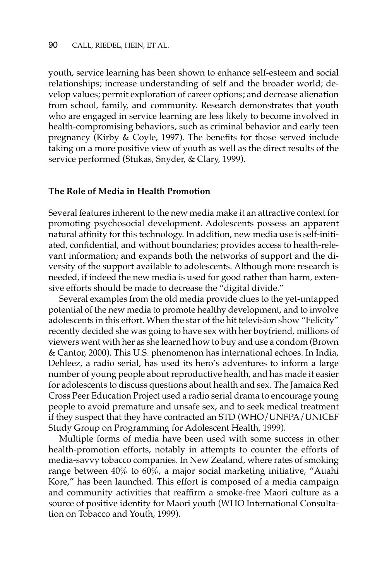#### 90 CALL, RIEDEL, HEIN, ET AL.

youth, service learning has been shown to enhance self-esteem and social relationships; increase understanding of self and the broader world; develop values; permit exploration of career options; and decrease alienation from school, family, and community. Research demonstrates that youth who are engaged in service learning are less likely to become involved in health-compromising behaviors, such as criminal behavior and early teen pregnancy (Kirby & Coyle, 1997). The benefits for those served include taking on a more positive view of youth as well as the direct results of the service performed (Stukas, Snyder, & Clary, 1999).

#### **The Role of Media in Health Promotion**

Several features inherent to the new media make it an attractive context for promoting psychosocial development. Adolescents possess an apparent natural affinity for this technology. In addition, new media use is self-initiated, confidential, and without boundaries; provides access to health-relevant information; and expands both the networks of support and the diversity of the support available to adolescents. Although more research is needed, if indeed the new media is used for good rather than harm, extensive efforts should be made to decrease the "digital divide."

Several examples from the old media provide clues to the yet-untapped potential of the new media to promote healthy development, and to involve adolescents in this effort. When the star of the hit television show "Felicity" recently decided she was going to have sex with her boyfriend, millions of viewers went with her as she learned how to buy and use a condom (Brown & Cantor, 2000). This U.S. phenomenon has international echoes. In India, Dehleez, a radio serial, has used its hero's adventures to inform a large number of young people about reproductive health, and has made it easier for adolescents to discuss questions about health and sex. The Jamaica Red Cross Peer Education Project used a radio serial drama to encourage young people to avoid premature and unsafe sex, and to seek medical treatment if they suspect that they have contracted an STD (WHO/UNFPA/UNICEF Study Group on Programming for Adolescent Health, 1999).

Multiple forms of media have been used with some success in other health-promotion efforts, notably in attempts to counter the efforts of media-savvy tobacco companies. In New Zealand, where rates of smoking range between 40% to 60%, a major social marketing initiative, "Auahi Kore," has been launched. This effort is composed of a media campaign and community activities that reaffirm a smoke-free Maori culture as a source of positive identity for Maori youth (WHO International Consultation on Tobacco and Youth, 1999).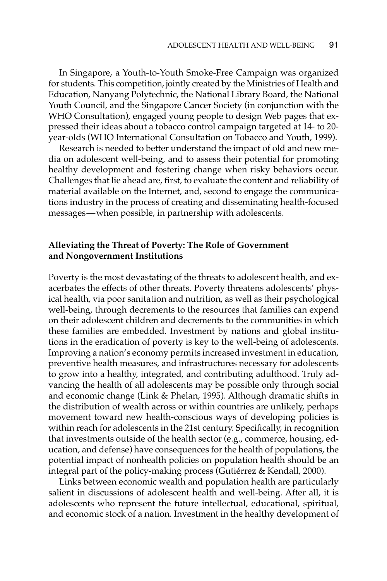In Singapore, a Youth-to-Youth Smoke-Free Campaign was organized for students. This competition, jointly created by the Ministries of Health and Education, Nanyang Polytechnic, the National Library Board, the National Youth Council, and the Singapore Cancer Society (in conjunction with the WHO Consultation), engaged young people to design Web pages that expressed their ideas about a tobacco control campaign targeted at 14- to 20 year-olds (WHO International Consultation on Tobacco and Youth, 1999).

Research is needed to better understand the impact of old and new media on adolescent well-being, and to assess their potential for promoting healthy development and fostering change when risky behaviors occur. Challenges that lie ahead are, first, to evaluate the content and reliability of material available on the Internet, and, second to engage the communications industry in the process of creating and disseminating health-focused messages—when possible, in partnership with adolescents.

## **Alleviating the Threat of Poverty: The Role of Government and Nongovernment Institutions**

Poverty is the most devastating of the threats to adolescent health, and exacerbates the effects of other threats. Poverty threatens adolescents' physical health, via poor sanitation and nutrition, as well as their psychological well-being, through decrements to the resources that families can expend on their adolescent children and decrements to the communities in which these families are embedded. Investment by nations and global institutions in the eradication of poverty is key to the well-being of adolescents. Improving a nation's economy permits increased investment in education, preventive health measures, and infrastructures necessary for adolescents to grow into a healthy, integrated, and contributing adulthood. Truly advancing the health of all adolescents may be possible only through social and economic change (Link & Phelan, 1995). Although dramatic shifts in the distribution of wealth across or within countries are unlikely, perhaps movement toward new health-conscious ways of developing policies is within reach for adolescents in the 21st century. Specifically, in recognition that investments outside of the health sector (e.g., commerce, housing, education, and defense) have consequences for the health of populations, the potential impact of nonhealth policies on population health should be an integral part of the policy-making process (Gutiérrez & Kendall, 2000).

Links between economic wealth and population health are particularly salient in discussions of adolescent health and well-being. After all, it is adolescents who represent the future intellectual, educational, spiritual, and economic stock of a nation. Investment in the healthy development of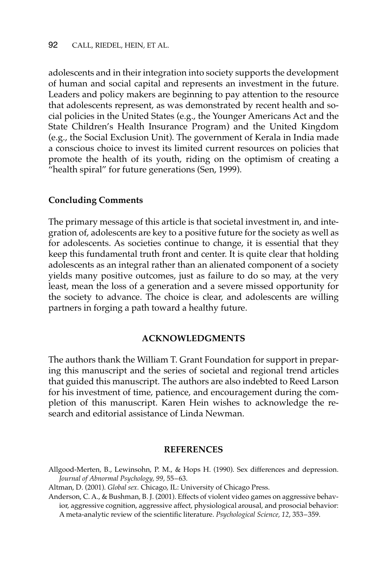adolescents and in their integration into society supports the development of human and social capital and represents an investment in the future. Leaders and policy makers are beginning to pay attention to the resource that adolescents represent, as was demonstrated by recent health and social policies in the United States (e.g., the Younger Americans Act and the State Children's Health Insurance Program) and the United Kingdom (e.g., the Social Exclusion Unit). The government of Kerala in India made a conscious choice to invest its limited current resources on policies that promote the health of its youth, riding on the optimism of creating a "health spiral" for future generations (Sen, 1999).

# **Concluding Comments**

The primary message of this article is that societal investment in, and integration of, adolescents are key to a positive future for the society as well as for adolescents. As societies continue to change, it is essential that they keep this fundamental truth front and center. It is quite clear that holding adolescents as an integral rather than an alienated component of a society yields many positive outcomes, just as failure to do so may, at the very least, mean the loss of a generation and a severe missed opportunity for the society to advance. The choice is clear, and adolescents are willing partners in forging a path toward a healthy future.

## **ACKNOWLEDGMENTS**

The authors thank the William T. Grant Foundation for support in preparing this manuscript and the series of societal and regional trend articles that guided this manuscript. The authors are also indebted to Reed Larson for his investment of time, patience, and encouragement during the completion of this manuscript. Karen Hein wishes to acknowledge the research and editorial assistance of Linda Newman.

#### **REFERENCES**

- Allgood-Merten, B., Lewinsohn, P. M., & Hops H. (1990). Sex differences and depression. *Journal of Abnormal Psychology, 99*, 55–63.
- Altman, D. (2001). *Global sex.* Chicago, IL: University of Chicago Press.
- Anderson, C. A., & Bushman, B. J. (2001). Effects of violent video games on aggressive behavior, aggressive cognition, aggressive affect, physiological arousal, and prosocial behavior: A meta-analytic review of the scientific literature. *Psychological Science, 12*, 353–359.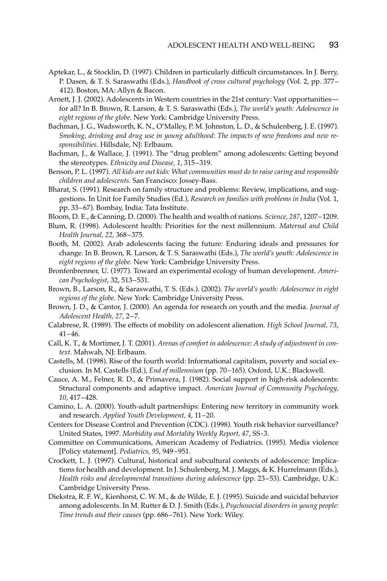- Aptekar, L., & Stocklin, D. (1997). Children in particularly difficult circumstances. In J. Berry, P. Dasen, & T. S. Saraswathi (Eds.), *Handbook of cross cultural psychology* (Vol. 2, pp. 377– 412). Boston, MA: Allyn & Bacon.
- Arnett, J. J. (2002). Adolescents in Western countries in the 21st century: Vast opportunities for all? In B. Brown, R. Larson, & T. S. Saraswathi (Eds.), *The world's youth: Adolescence in eight regions of the globe.* New York: Cambridge University Press.
- Bachman, J. G., Wadsworth, K. N., O'Malley, P. M. Johnston, L. D., & Schulenberg, J. E. (1997). *Smoking, drinking and drug use in young adulthood: The impacts of new freedoms and new responsibilities.* Hillsdale, NJ: Erlbaum.
- Bachman, J., & Wallace, J. (1991). The "drug problem" among adolescents: Getting beyond the stereotypes. *Ethnicity and Disease, 1*, 315–319.
- Benson, P. L. (1997). *All kids are out kids: What communities must do to raise caring and responsible children and adolescents.* San Francisco: Jossey-Bass.
- Bharat, S. (1991). Research on family structure and problems: Review, implications, and suggestions. In Unit for Family Studies (Ed.), *Research on families with problems in India* (Vol. 1, pp. 33–67). Bombay, India: Tata Institute.
- Bloom, D. E., & Canning, D. (2000). The health and wealth of nations. *Science, 287*, 1207–1209.
- Blum, R. (1998). Adolescent health: Priorities for the next millennium. *Maternal and Child Health Journal, 22*, 368–375.
- Booth, M. (2002). Arab adolescents facing the future: Enduring ideals and pressures for change. In B. Brown, R. Larson, & T. S. Saraswathi (Eds.), *The world's youth: Adolescence in eight regions of the globe.* New York: Cambridge University Press.
- Bronfenbrenner, U. (1977). Toward an experimental ecology of human development. *American Psychologist*, 32, 513–531.
- Brown, B., Larson, R., & Saraswathi, T. S. (Eds.). (2002). *The world's youth: Adolescence in eight regions of the globe.* New York: Cambridge University Press.
- Brown, J. D., & Cantor, J. (2000). An agenda for research on youth and the media. *Journal of Adolescent Health, 27*, 2–7.
- Calabrese, R. (1989). The effects of mobility on adolescent alienation. *High School Journal, 73*, 41–46.
- Call, K. T., & Mortimer, J. T. (2001). *Arenas of comfort in adolescence: A study of adjustment in context.* Mahwah, NJ: Erlbaum.
- Castells, M. (1998). Rise of the fourth world: Informational capitalism, poverty and social exclusion. In M. Castells (Ed.), *End of millennium* (pp. 70–165). Oxford, U.K.: Blackwell.
- Cauce, A. M., Felner, R. D., & Primavera, J. (1982). Social support in high-risk adolescents: Structural components and adaptive impact. *American Journal of Community Psychology, 10*, 417–428.
- Camino, L. A. (2000). Youth-adult partnerships: Entering new territory in community work and research. *Applied Youth Development, 4*, 11–20.
- Centers for Disease Control and Prevention (CDC). (1998). Youth risk behavior surveillance? United States, 1997. *Morbidity and Mortality Weekly Report, 47*, SS-3.
- Committee on Communications, American Academy of Pediatrics. (1995). Media violence [Policy statement]. *Pediatrics, 95*, 949–951.
- Crockett, L. J. (1997). Cultural, historical and subcultural contexts of adolescence: Implications for health and development. In J. Schulenberg, M. J. Maggs, & K. Hurrelmann (Eds.), *Health risks and developmental transitions during adolescence* (pp. 23–53). Cambridge, U.K.: Cambridge University Press.
- Diekstra, R. F. W., Kienhorst, C. W. M., & de Wilde, E. J. (1995). Suicide and suicidal behavior among adolescents. In M. Rutter & D. J. Smith (Eds.), *Psychosocial disorders in young people: Time trends and their causes* (pp. 686–761). New York: Wiley.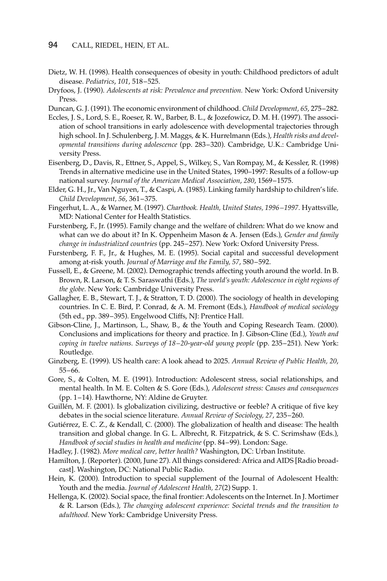- Dietz, W. H. (1998). Health consequences of obesity in youth: Childhood predictors of adult disease. *Pediatrics*, *101*, 518–525.
- Dryfoos, J. (1990). *Adolescents at risk: Prevalence and prevention.* New York: Oxford University Press.
- Duncan, G. J. (1991). The economic environment of childhood. *Child Development, 65*, 275–282.
- Eccles, J. S., Lord, S. E., Roeser, R. W., Barber, B. L., & Jozefowicz, D. M. H. (1997). The association of school transitions in early adolescence with developmental trajectories through high school. In J. Schulenberg, J. M. Maggs, & K. Hurrelmann (Eds.), *Health risks and developmental transitions during adolescence* (pp. 283–320). Cambridge, U.K.: Cambridge University Press.
- Eisenberg, D., Davis, R., Ettner, S., Appel, S., Wilkey, S., Van Rompay, M., & Kessler, R. (1998) Trends in alternative medicine use in the United States, 1990–1997: Results of a follow-up national survey. *Journal of the American Medical Association*, *280*, 1569–1575.
- Elder, G. H., Jr., Van Nguyen, T., & Caspi, A. (1985). Linking family hardship to children's life. *Child Development, 56*, 361–375.
- Fingerhut, L. A., & Warner, M. (1997). *Chartbook. Health, United States, 1996–1997.* Hyattsville, MD: National Center for Health Statistics.
- Furstenberg, F., Jr. (1995). Family change and the welfare of children: What do we know and what can we do about it? In K. Oppenheim Mason & A. Jensen (Eds.), *Gender and family change in industrialized countries* (pp. 245–257). New York: Oxford University Press.
- Furstenberg, F. F., Jr., & Hughes, M. E. (1995). Social capital and successful development among at-risk youth. *Journal of Marriage and the Family, 57*, 580–592.
- Fussell, E., & Greene, M. (2002). Demographic trends affecting youth around the world. In B. Brown, R. Larson, & T. S. Saraswathi (Eds.), *The world's youth: Adolescence in eight regions of the globe.* New York: Cambridge University Press.
- Gallagher, E. B., Stewart, T. J., & Stratton, T. D. (2000). The sociology of health in developing countries. In C. E. Bird, P. Conrad, & A. M. Fremont (Eds.), *Handbook of medical sociology* (5th ed., pp. 389–395). Engelwood Cliffs, NJ: Prentice Hall.
- Gibson-Cline, J., Martinson, L., Shaw, B., & the Youth and Coping Research Team. (2000). Conclusions and implications for theory and practice. In J. Gibson-Cline (Ed.), *Youth and coping in twelve nations. Surveys of 18–20-year-old young people* (pp. 235–251). New York: Routledge.
- Ginzberg, E. (1999). US health care: A look ahead to 2025. *Annual Review of Public Health, 20*, 55–66.
- Gore, S., & Colten, M. E. (1991). Introduction: Adolescent stress, social relationships, and mental health. In M. E. Colten & S. Gore (Eds.), *Adolescent stress: Causes and consequences* (pp. 1–14). Hawthorne, NY: Aldine de Gruyter.
- Guillén, M. F. (2001). Is globalization civilizing, destructive or feeble? A critique of five key debates in the social science literature. *Annual Review of Sociology, 27*, 235–260.
- Gutiérrez, E. C. Z., & Kendall, C. (2000). The globalization of health and disease: The health transition and global change. In G. L. Albrecht, R. Fitzpatrick, & S. C. Scrimshaw (Eds.), *Handbook of social studies in health and medicine* (pp. 84–99). London: Sage.
- Hadley, J. (1982). *More medical care, better health?* Washington, DC: Urban Institute.
- Hamilton, J. (Reporter). (2000, June 27). All things considered: Africa and AIDS [Radio broadcast]. Washington, DC: National Public Radio.
- Hein, K. (2000). Introduction to special supplement of the Journal of Adolescent Health: Youth and the media. *Journal of Adolescent Health, 27*(2) Supp. 1.
- Hellenga, K. (2002). Social space, the final frontier: Adolescents on the Internet. In J. Mortimer & R. Larson (Eds.), *The changing adolescent experience: Societal trends and the transition to adulthood.* New York: Cambridge University Press.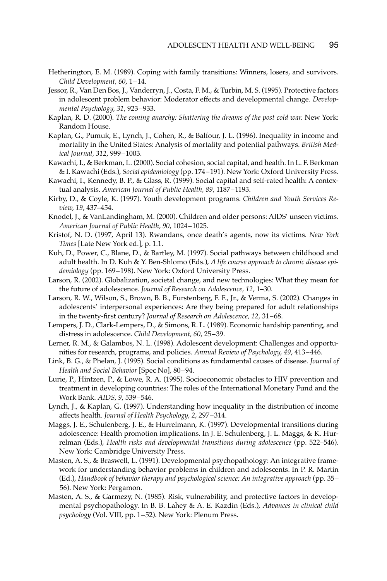- Hetherington, E. M. (1989). Coping with family transitions: Winners, losers, and survivors. *Child Development, 60*, 1–14.
- Jessor, R., Van Den Bos, J., Vanderryn, J., Costa, F. M., & Turbin, M. S. (1995). Protective factors in adolescent problem behavior: Moderator effects and developmental change. *Developmental Psychology, 31*, 923–933.
- Kaplan, R. D. (2000). *The coming anarchy: Shattering the dreams of the post cold war.* New York: Random House.
- Kaplan, G., Pumuk, E., Lynch, J., Cohen, R., & Balfour, J. L. (1996). Inequality in income and mortality in the United States: Analysis of mortality and potential pathways. *British Medical Journal, 312*, 999–1003.
- Kawachi, I., & Berkman, L. (2000). Social cohesion, social capital, and health. In L. F. Berkman & I. Kawachi (Eds.), *Social epidemiology* (pp. 174–191). New York: Oxford University Press.
- Kawachi, I., Kennedy, B. P., & Glass, R. (1999). Social capital and self-rated health: A contextual analysis. *American Journal of Public Health, 89*, 1187–1193.
- Kirby, D., & Coyle, K. (1997). Youth development programs. *Children and Youth Services Review, 19*, 437–454.
- Knodel, J., & VanLandingham, M. (2000). Children and older persons: AIDS' unseen victims. *American Journal of Public Health, 90*, 1024–1025.
- Kristof, N. D. (1997, April 13). Rwandans, once death's agents, now its victims. *New York Times* [Late New York ed.], p. 1.1.
- Kuh, D., Power, C., Blane, D., & Bartley, M. (1997). Social pathways between childhood and adult health. In D. Kuh & Y. Ben-Shlomo (Eds.), *A life course approach to chronic disease epidemiology* (pp. 169–198). New York: Oxford University Press.
- Larson, R. (2002). Globalization, societal change, and new technologies: What they mean for the future of adolescence. *Journal of Research on Adolescence, 12*, 1–30.
- Larson, R. W., Wilson, S., Brown, B. B., Furstenberg, F. F., Jr., & Verma, S. (2002). Changes in adolescents' interpersonal experiences: Are they being prepared for adult relationships in the twenty-first century? *Journal of Research on Adolescence, 12*, 31–68.
- Lempers, J. D., Clark-Lempers, D., & Simons, R. L. (1989). Economic hardship parenting, and distress in adolescence. *Child Development, 60*, 25–39.
- Lerner, R. M., & Galambos, N. L. (1998). Adolescent development: Challenges and opportunities for research, programs, and policies. *Annual Review of Psychology, 49*, 413–446.
- Link, B. G., & Phelan, J. (1995). Social conditions as fundamental causes of disease. *Journal of Health and Social Behavior* [Spec No], 80–94.
- Lurie, P., Hintzen, P., & Lowe, R. A. (1995). Socioeconomic obstacles to HIV prevention and treatment in developing countries: The roles of the International Monetary Fund and the Work Bank. *AIDS, 9*, 539–546.
- Lynch, J., & Kaplan, G. (1997). Understanding how inequality in the distribution of income affects health. *Journal of Health Psychology, 2*, 297–314.
- Maggs, J. E., Schulenberg, J. E., & Hurrelmann, K. (1997). Developmental transitions during adolescence: Health promotion implications. In J. E. Schulenberg, J. L. Maggs, & K. Hurrelman (Eds.), *Health risks and developmental transitions during adolescence* (pp. 522–546). New York: Cambridge University Press.
- Masten, A. S., & Braswell, L. (1991). Developmental psychopathology: An integrative framework for understanding behavior problems in children and adolescents. In P. R. Martin (Ed.), *Handbook of behavior therapy and psychological science: An integrative approach* (pp. 35– 56). New York: Pergamon.
- Masten, A. S., & Garmezy, N. (1985). Risk, vulnerability, and protective factors in developmental psychopathology. In B. B. Lahey & A. E. Kazdin (Eds.), *Advances in clinical child psychology* (Vol. VIII, pp. 1–52). New York: Plenum Press.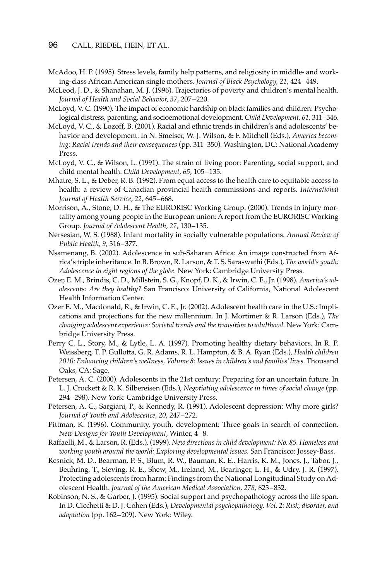#### 96 CALL, RIEDEL, HEIN, ET AL.

- McAdoo, H. P. (1995). Stress levels, family help patterns, and religiosity in middle- and working-class African American single mothers. *Journal of Black Psychology, 21*, 424–449.
- McLeod, J. D., & Shanahan, M. J. (1996). Trajectories of poverty and children's mental health. *Journal of Health and Social Behavior, 37*, 207–220.
- McLoyd, V. C. (1990). The impact of economic hardship on black families and children: Psychological distress, parenting, and socioemotional development. *Child Development, 61*, 311–346.
- McLoyd, V. C., & Lozoff, B. (2001). Racial and ethnic trends in children's and adolescents' behavior and development. In N. Smelser, W. J. Wilson, & F. Mitchell (Eds.), *America becoming: Racial trends and their consequences* (pp. 311–350)*.* Washington, DC: National Academy Press.
- McLoyd, V. C., & Wilson, L. (1991). The strain of living poor: Parenting, social support, and child mental health. *Child Development, 65*, 105–135.
- Mhatre, S. L., & Deber, R. B. (1992). From equal access to the health care to equitable access to health: a review of Canadian provincial health commissions and reports. *International Journal of Health Service, 22*, 645–668.
- Morrison, A., Stone, D. H., & The EURORISC Working Group. (2000). Trends in injury mortality among young people in the European union: A report from the EURORISC Working Group. *Journal of Adolescent Health, 27*, 130–135.
- Nersesian, W. S. (1988). Infant mortality in socially vulnerable populations. *Annual Review of Public Health, 9*, 316–377.
- Nsamenang, B. (2002). Adolescence in sub-Saharan Africa: An image constructed from Africa's triple inheritance. In B. Brown, R. Larson, & T. S. Saraswathi (Eds.), *The world's youth: Adolescence in eight regions of the globe.* New York: Cambridge University Press.
- Ozer, E. M., Brindis, C. D., Millstein, S. G., Knopf, D. K., & Irwin, C. E., Jr. (1998). *America's adolescents: Are they healthy?* San Francisco: University of California, National Adolescent Health Information Center.
- Ozer E. M., Macdonald, R., & Irwin, C. E., Jr. (2002). Adolescent health care in the U.S.: Implications and projections for the new millennium. In J. Mortimer & R. Larson (Eds.), *The changing adolescent experience: Societal trends and the transition to adulthood.* New York: Cambridge University Press.
- Perry C. L., Story, M., & Lytle, L. A. (1997). Promoting healthy dietary behaviors. In R. P. Weissberg, T. P. Gullotta, G. R. Adams, R. L. Hampton, & B. A. Ryan (Eds.), *Health children 2010: Enhancing children's wellness, Volume 8: Issues in children's and families' lives.* Thousand Oaks, CA: Sage.
- Petersen, A. C. (2000). Adolescents in the 21st century: Preparing for an uncertain future. In L. J. Crockett & R. K. Silbereisen (Eds.), *Negotiating adolescence in times of social change* (pp. 294–298). New York: Cambridge University Press.
- Petersen, A. C., Sargiani, P., & Kennedy, R. (1991). Adolescent depression: Why more girls? *Journal of Youth and Adolescence, 20*, 247–272.
- Pittman, K. (1996). Community, youth, development: Three goals in search of connection. *New Designs for Youth Development*, Winter, 4–8.
- Raffaelli, M., & Larson, R. (Eds.). (1999). *New directions in child development: No. 85. Homeless and working youth around the world: Exploring developmental issues.* San Francisco: Jossey-Bass.
- Resnick, M. D., Bearman, P. S., Blum, R. W., Bauman, K. E., Harris, K. M., Jones, J., Tabor, J., Beuhring, T., Sieving, R. E., Shew, M., Ireland, M., Bearinger, L. H., & Udry, J. R. (1997). Protecting adolescents from harm: Findings from the National Longitudinal Study on Adolescent Health. *Journal of the American Medical Association, 278*, 823–832.
- Robinson, N. S., & Garber, J. (1995). Social support and psychopathology across the life span. In D. Cicchetti & D. J. Cohen (Eds.), *Developmental psychopathology. Vol. 2: Risk, disorder, and adaptation* (pp. 162–209). New York: Wiley.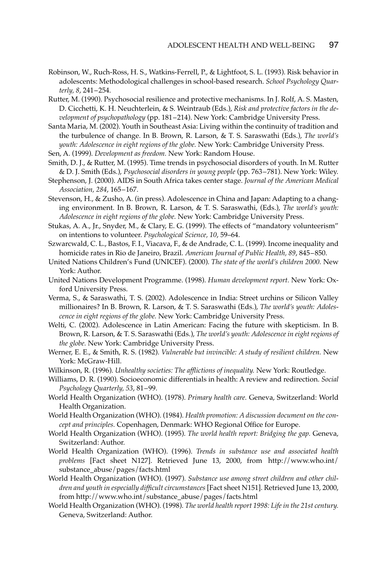- Robinson, W., Ruch-Ross, H. S., Watkins-Ferrell, P., & Lightfoot, S. L. (1993). Risk behavior in adolescents: Methodological challenges in school-based research. *School Psychology Quarterly, 8*, 241–254.
- Rutter, M. (1990). Psychosocial resilience and protective mechanisms. In J. Rolf, A. S. Masten, D. Cicchetti, K. H. Neuchterlein, & S. Weintraub (Eds.), *Risk and protective factors in the development of psychopathology* (pp. 181–214). New York: Cambridge University Press.

Santa Maria, M. (2002). Youth in Southeast Asia: Living within the continuity of tradition and the turbulence of change. In B. Brown, R. Larson, & T. S. Saraswathi (Eds.), *The world's youth: Adolescence in eight regions of the globe.* New York: Cambridge University Press.

Sen, A. (1999). *Development as freedom.* New York: Random House.

- Smith, D. J., & Rutter, M. (1995). Time trends in psychosocial disorders of youth. In M. Rutter & D. J. Smith (Eds.), *Psychosocial disorders in young people* (pp. 763–781). New York: Wiley.
- Stephenson, J. (2000). AIDS in South Africa takes center stage. *Journal of the American Medical Association, 284*, 165–167.
- Stevenson, H., & Zusho, A. (in press). Adolescence in China and Japan: Adapting to a changing environment. In B. Brown, R. Larson, & T. S. Saraswathi, (Eds.), *The world's youth: Adolescence in eight regions of the globe.* New York: Cambridge University Press.
- Stukas, A. A., Jr., Snyder, M., & Clary, E. G. (1999). The effects of "mandatory volunteerism" on intentions to volunteer. *Psychological Science, 10*, 59–64.
- Szwarcwald, C. L., Bastos, F. I., Viacava, F., & de Andrade, C. L. (1999). Income inequality and homicide rates in Rio de Janeiro, Brazil. *American Journal of Public Health, 89*, 845–850.
- United Nations Children's Fund (UNICEF). (2000). *The state of the world's children 2000.* New York: Author.
- United Nations Development Programme. (1998). *Human development report.* New York: Oxford University Press.
- Verma, S., & Saraswathi, T. S. (2002). Adolescence in India: Street urchins or Silicon Valley millionaires? In B. Brown, R. Larson, & T. S. Saraswathi (Eds.), *The world's youth: Adolescence in eight regions of the globe.* New York: Cambridge University Press.
- Welti, C. (2002). Adolescence in Latin American: Facing the future with skepticism. In B. Brown, R. Larson, & T. S. Saraswathi (Eds.), *The world's youth: Adolescence in eight regions of the globe.* New York: Cambridge University Press.
- Werner, E. E., & Smith, R. S. (1982). *Vulnerable but invincible: A study of resilient children.* New York: McGraw-Hill.
- Wilkinson, R. (1996). *Unhealthy societies: The afflictions of inequality.* New York: Routledge.
- Williams, D. R. (1990). Socioeconomic differentials in health: A review and redirection. *Social Psychology Quarterly, 53*, 81–99.
- World Health Organization (WHO). (1978). *Primary health care.* Geneva, Switzerland: World Health Organization.
- World Health Organization (WHO). (1984). *Health promotion: A discussion document on the concept and principles.* Copenhagen, Denmark: WHO Regional Office for Europe.
- World Health Organization (WHO). (1995). *The world health report: Bridging the gap.* Geneva, Switzerland: Author.
- World Health Organization (WHO). (1996). *Trends in substance use and associated health problems* [Fact sheet N127]. Retrieved June 13, 2000, from http://www.who.int/ substance\_abuse/pages/facts.html
- World Health Organization (WHO). (1997). *Substance use among street children and other children and youth in especially difficult circumstances* [Fact sheet N151]. Retrieved June 13, 2000, from http://www.who.int/substance\_abuse/pages/facts.html
- World Health Organization (WHO). (1998). *The world health report 1998: Life in the 21st century.* Geneva, Switzerland: Author.